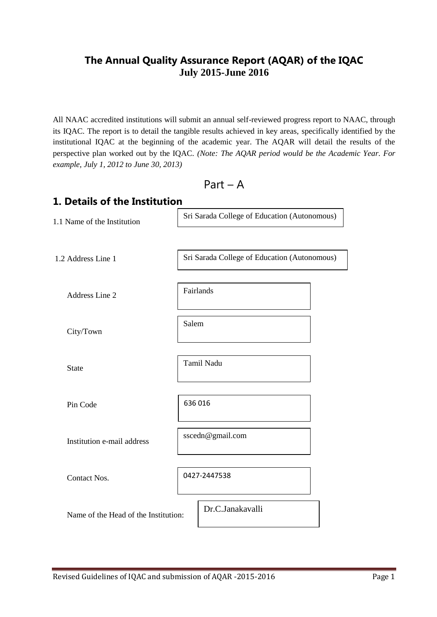# **The Annual Quality Assurance Report (AQAR) of the IQAC July 2015-June 2016**

All NAAC accredited institutions will submit an annual self-reviewed progress report to NAAC, through its IQAC. The report is to detail the tangible results achieved in key areas, specifically identified by the institutional IQAC at the beginning of the academic year. The AQAR will detail the results of the perspective plan worked out by the IQAC. *(Note: The AQAR period would be the Academic Year. For example, July 1, 2012 to June 30, 2013)*

Part – A

| 1. Details of the Institution        |                                              |
|--------------------------------------|----------------------------------------------|
| 1.1 Name of the Institution          | Sri Sarada College of Education (Autonomous) |
| 1.2 Address Line 1                   | Sri Sarada College of Education (Autonomous) |
| Address Line 2                       | Fairlands                                    |
| City/Town                            | Salem                                        |
| <b>State</b>                         | Tamil Nadu                                   |
| Pin Code                             | 636 016                                      |
| Institution e-mail address           | sscedn@gmail.com                             |
| Contact Nos.                         | 0427-2447538                                 |
| Name of the Head of the Institution: | Dr.C.Janakavalli                             |
|                                      |                                              |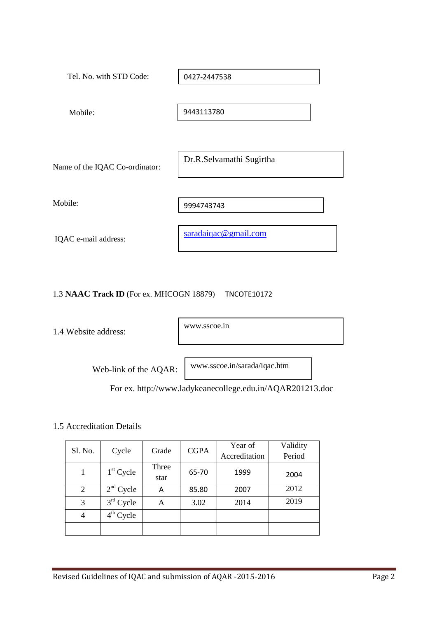| Tel. No. with STD Code:        | 0427-2447538             |
|--------------------------------|--------------------------|
| Mobile:                        | 9443113780               |
| Name of the IQAC Co-ordinator: | Dr.R.Selvamathi Sugirtha |
| Mobile:                        | 9994743743               |
| IQAC e-mail address:           | saradaiqac@gmail.com     |

## 1.3 **NAAC Track ID** (For ex. MHCOGN 18879) TNCOTE10172

1.4 Website address:

www.sscoe.in

Web-link of the AQAR:

www.sscoe.in/sarada/iqac.htm

For ex. http://www.ladykeanecollege.edu.in/AQAR201213.doc

## 1.5 Accreditation Details

| Sl. No.        | Cycle       | Grade         | <b>CGPA</b> | Year of       | Validity |
|----------------|-------------|---------------|-------------|---------------|----------|
|                |             |               |             | Accreditation | Period   |
|                | $1st$ Cycle | Three<br>star | 65-70       | 1999          | 2004     |
| 2              | $2nd$ Cycle | А             | 85.80       | 2007          | 2012     |
| 3              | $3rd$ Cycle | Α             | 3.02        | 2014          | 2019     |
| $\overline{4}$ | $4th$ Cycle |               |             |               |          |
|                |             |               |             |               |          |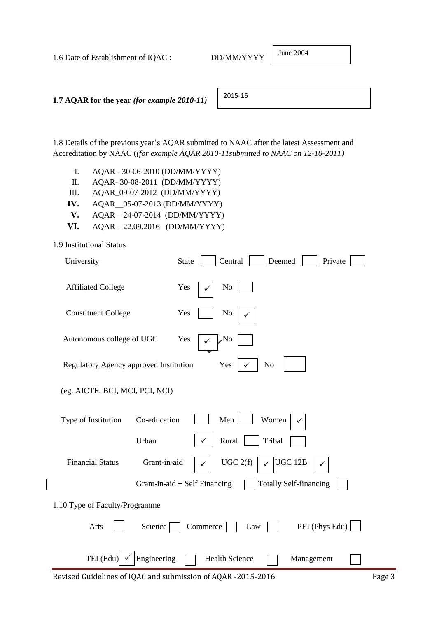| 1.6 Date of Establishment of IQAC :                | DD/MM/YYYY | June 2004 |  |
|----------------------------------------------------|------------|-----------|--|
|                                                    |            |           |  |
| 1.7 AQAR for the year <i>(for example 2010-11)</i> | 2015-16    |           |  |

June 2004

1.8 Details of the previous year"s AQAR submitted to NAAC after the latest Assessment and Accreditation by NAAC (*(for example AQAR 2010-11submitted to NAAC on 12-10-2011)*

- I. AQAR 30-06-2010 (DD/MM/YYYY)
- II. AQAR- 30-08-2011 (DD/MM/YYYY)
- III. AQAR\_09-07-2012 (DD/MM/YYYY)
- **IV.** AQAR\_\_05-07-2013 (DD/MM/YYYY)
- **V.** AQAR 24-07-2014 (DD/MM/YYYY)
- **VI.** AQAR 22.09.2016 (DD/MM/YYYY)

### 1.9 Institutional Status

| University                              | Central<br><b>State</b><br>Deemed<br>Private                     |
|-----------------------------------------|------------------------------------------------------------------|
| <b>Affiliated College</b>               | Yes<br>N <sub>0</sub>                                            |
| <b>Constituent College</b>              | Yes<br>No                                                        |
| Autonomous college of UGC               | Yes<br>No,                                                       |
| Regulatory Agency approved Institution  | N <sub>o</sub><br>Yes                                            |
| (eg. AICTE, BCI, MCI, PCI, NCI)         |                                                                  |
| Co-education<br>Type of Institution     | Men<br>Women                                                     |
| Urban                                   | Rural<br>Tribal                                                  |
| <b>Financial Status</b><br>Grant-in-aid | UGC 2(f)<br>UGC 12B                                              |
|                                         | <b>Totally Self-financing</b><br>Grant-in-aid $+$ Self Financing |
| 1.10 Type of Faculty/Programme          |                                                                  |
| Arts<br>Science                         | PEI (Phys Edu)<br>Commerce<br>Law                                |
| Engineering<br>TEI (Edu)                | <b>Health Science</b><br>Management                              |

Revised Guidelines of IQAC and submission of AQAR -2015-2016 Page 3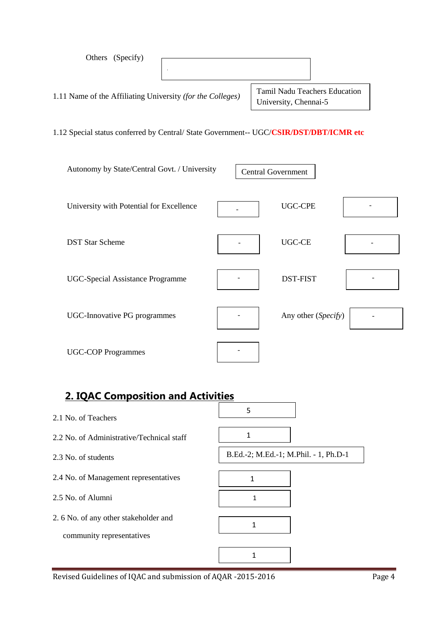| Others (Specify)                                                                       |                                                               |  |
|----------------------------------------------------------------------------------------|---------------------------------------------------------------|--|
| 1.11 Name of the Affiliating University (for the Colleges)                             | <b>Tamil Nadu Teachers Education</b><br>University, Chennai-5 |  |
| 1.12 Special status conferred by Central/ State Government-- UGC/CSIR/DST/DBT/ICMR etc |                                                               |  |
| Autonomy by State/Central Govt. / University                                           | <b>Central Government</b>                                     |  |
| University with Potential for Excellence                                               | <b>UGC-CPE</b>                                                |  |
| <b>DST Star Scheme</b>                                                                 | UGC-CE                                                        |  |
| <b>UGC-Special Assistance Programme</b>                                                | <b>DST-FIST</b>                                               |  |
| <b>UGC-Innovative PG programmes</b>                                                    | Any other (Specify)                                           |  |
| <b>UGC-COP Programmes</b>                                                              |                                                               |  |

# **2. IQAC Composition and Activities**

| 2.1 No. of Teachers                                                | 5                                     |  |
|--------------------------------------------------------------------|---------------------------------------|--|
| 2.2 No. of Administrative/Technical staff                          |                                       |  |
| 2.3 No. of students                                                | B.Ed.-2; M.Ed.-1; M.Phil. - 1, Ph.D-1 |  |
| 2.4 No. of Management representatives                              | 1                                     |  |
| 2.5 No. of Alumni                                                  | 1                                     |  |
| 2. 6 No. of any other stakeholder and<br>community representatives | 1                                     |  |
|                                                                    |                                       |  |

 $\overline{\phantom{a}}$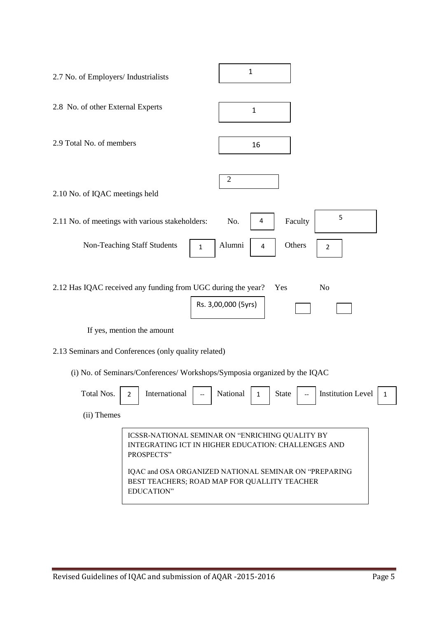| 2.7 No. of Employers/ Industrialists                                                                 | $\mathbf{1}$                                                                                                                                                                                                    |
|------------------------------------------------------------------------------------------------------|-----------------------------------------------------------------------------------------------------------------------------------------------------------------------------------------------------------------|
| 2.8 No. of other External Experts                                                                    | $\mathbf{1}$                                                                                                                                                                                                    |
| 2.9 Total No. of members                                                                             | 16                                                                                                                                                                                                              |
| 2.10 No. of IQAC meetings held                                                                       | $\overline{2}$                                                                                                                                                                                                  |
| 2.11 No. of meetings with various stakeholders:                                                      | 5<br>No.<br>Faculty<br>4                                                                                                                                                                                        |
| Non-Teaching Staff Students<br>$\mathbf{1}$                                                          | Alumni<br>Others<br>4<br>2                                                                                                                                                                                      |
| 2.12 Has IQAC received any funding from UGC during the year?<br>If yes, mention the amount           | Yes<br>N <sub>o</sub><br>Rs. 3,00,000 (5yrs)                                                                                                                                                                    |
| 2.13 Seminars and Conferences (only quality related)                                                 |                                                                                                                                                                                                                 |
| (i) No. of Seminars/Conferences/ Workshops/Symposia organized by the IQAC                            |                                                                                                                                                                                                                 |
| Total Nos.<br>International<br>$\overline{2}$<br>$\hspace{0.05cm} -\hspace{0.05cm} -\hspace{0.05cm}$ | National<br><b>Institution Level</b><br><b>State</b><br>$\mathbf{1}$<br>1<br>$\overline{\phantom{a}}$                                                                                                           |
| (ii) Themes                                                                                          |                                                                                                                                                                                                                 |
| PROSPECTS"<br>EDUCATION"                                                                             | ICSSR-NATIONAL SEMINAR ON "ENRICHING QUALITY BY<br>INTEGRATING ICT IN HIGHER EDUCATION: CHALLENGES AND<br>IQAC and OSA ORGANIZED NATIONAL SEMINAR ON "PREPARING<br>BEST TEACHERS; ROAD MAP FOR QUALLITY TEACHER |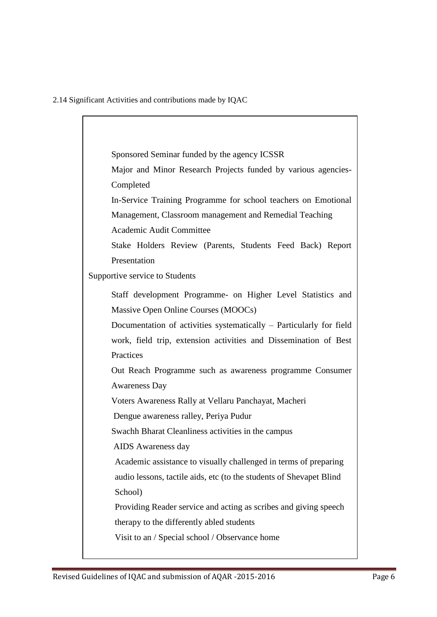2.14 Significant Activities and contributions made by IQAC

Sponsored Seminar funded by the agency ICSSR Major and Minor Research Projects funded by various agencies-Completed In-Service Training Programme for school teachers on Emotional Management, Classroom management and Remedial Teaching Academic Audit Committee Stake Holders Review (Parents, Students Feed Back) Report Presentation Supportive service to Students Staff development Programme- on Higher Level Statistics and Massive Open Online Courses (MOOCs) Documentation of activities systematically – Particularly for field work, field trip, extension activities and Dissemination of Best **Practices** Out Reach Programme such as awareness programme Consumer Awareness Day Voters Awareness Rally at Vellaru Panchayat, Macheri Dengue awareness ralley, Periya Pudur Swachh Bharat Cleanliness activities in the campus AIDS Awareness day Academic assistance to visually challenged in terms of preparing audio lessons, tactile aids, etc (to the students of Shevapet Blind School) Providing Reader service and acting as scribes and giving speech therapy to the differently abled students Visit to an / Special school / Observance home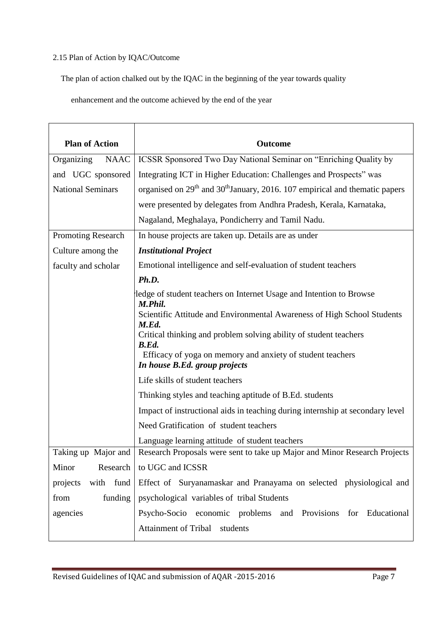## 2.15 Plan of Action by IQAC/Outcome

The plan of action chalked out by the IQAC in the beginning of the year towards quality

enhancement and the outcome achieved by the end of the year

| <b>Plan of Action</b>     | <b>Outcome</b>                                                                                                                                                                                                                                                                                                                                                                                                                                                                                                                                                                                                             |
|---------------------------|----------------------------------------------------------------------------------------------------------------------------------------------------------------------------------------------------------------------------------------------------------------------------------------------------------------------------------------------------------------------------------------------------------------------------------------------------------------------------------------------------------------------------------------------------------------------------------------------------------------------------|
| Organizing<br><b>NAAC</b> | ICSSR Sponsored Two Day National Seminar on "Enriching Quality by                                                                                                                                                                                                                                                                                                                                                                                                                                                                                                                                                          |
| and UGC sponsored         | Integrating ICT in Higher Education: Challenges and Prospects" was                                                                                                                                                                                                                                                                                                                                                                                                                                                                                                                                                         |
| <b>National Seminars</b>  | organised on $29th$ and $30th$ January, 2016. 107 empirical and thematic papers                                                                                                                                                                                                                                                                                                                                                                                                                                                                                                                                            |
|                           | were presented by delegates from Andhra Pradesh, Kerala, Karnataka,                                                                                                                                                                                                                                                                                                                                                                                                                                                                                                                                                        |
|                           | Nagaland, Meghalaya, Pondicherry and Tamil Nadu.                                                                                                                                                                                                                                                                                                                                                                                                                                                                                                                                                                           |
| <b>Promoting Research</b> | In house projects are taken up. Details are as under                                                                                                                                                                                                                                                                                                                                                                                                                                                                                                                                                                       |
| Culture among the         | <b>Institutional Project</b>                                                                                                                                                                                                                                                                                                                                                                                                                                                                                                                                                                                               |
| faculty and scholar       | Emotional intelligence and self-evaluation of student teachers                                                                                                                                                                                                                                                                                                                                                                                                                                                                                                                                                             |
|                           | Ph.D.                                                                                                                                                                                                                                                                                                                                                                                                                                                                                                                                                                                                                      |
|                           | ledge of student teachers on Internet Usage and Intention to Browse<br>M.Phil.<br>Scientific Attitude and Environmental Awareness of High School Students<br>M.Ed.<br>Critical thinking and problem solving ability of student teachers<br>B.Ed.<br>Efficacy of yoga on memory and anxiety of student teachers<br>In house B.Ed. group projects<br>Life skills of student teachers<br>Thinking styles and teaching aptitude of B.Ed. students<br>Impact of instructional aids in teaching during internship at secondary level<br>Need Gratification of student teachers<br>Language learning attitude of student teachers |
| Taking up Major and       | Research Proposals were sent to take up Major and Minor Research Projects                                                                                                                                                                                                                                                                                                                                                                                                                                                                                                                                                  |
| Research  <br>Minor       | to UGC and ICSSR                                                                                                                                                                                                                                                                                                                                                                                                                                                                                                                                                                                                           |
| with fund<br>projects     | Effect of Suryanamaskar and Pranayama on selected physiological and                                                                                                                                                                                                                                                                                                                                                                                                                                                                                                                                                        |
| from<br>funding           | psychological variables of tribal Students                                                                                                                                                                                                                                                                                                                                                                                                                                                                                                                                                                                 |
| agencies                  | Psycho-Socio economic problems and Provisions for Educational                                                                                                                                                                                                                                                                                                                                                                                                                                                                                                                                                              |
|                           | Attainment of Tribal students                                                                                                                                                                                                                                                                                                                                                                                                                                                                                                                                                                                              |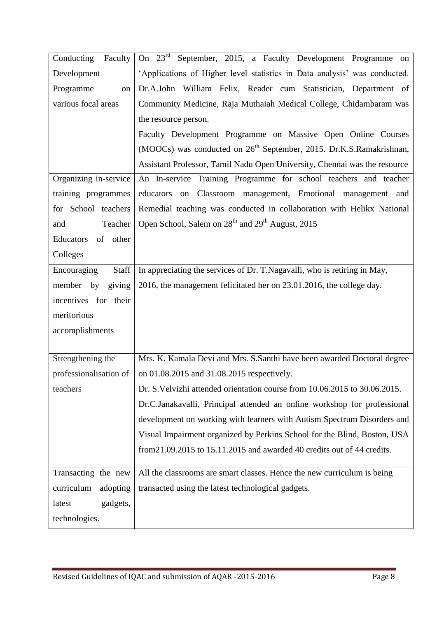| Conducting Faculty     | On 23 <sup>rd</sup> September, 2015, a Faculty Development Programme on         |
|------------------------|---------------------------------------------------------------------------------|
| Development            | 'Applications of Higher level statistics in Data analysis' was conducted.       |
| Programme<br>on        | Dr.A.John William Felix, Reader cum Statistician, Department of                 |
| various focal areas    | Community Medicine, Raja Muthaiah Medical College, Chidambaram was              |
|                        | the resource person.                                                            |
|                        | Faculty Development Programme on Massive Open Online Courses                    |
|                        | (MOOCs) was conducted on 26 <sup>th</sup> September, 2015. Dr.K.S.Ramakrishnan, |
|                        | Assistant Professor, Tamil Nadu Open University, Chennai was the resource       |
| Organizing in-service  | An In-service Training Programme for school teachers and teacher                |
| training programmes    | educators on Classroom management, Emotional management and                     |
| for School teachers    | Remedial teaching was conducted in collaboration with Helikx National           |
| Teacher<br>and         | Open School, Salem on 28 <sup>th</sup> and 29 <sup>th</sup> August, 2015        |
| Educators of other     |                                                                                 |
| Colleges               |                                                                                 |
| Encouraging<br>Staff   | In appreciating the services of Dr. T.Nagavalli, who is retiring in May,        |
| giving<br>member by    | 2016, the management felicitated her on 23.01.2016, the college day.            |
| incentives for their   |                                                                                 |
| meritorious            |                                                                                 |
| accomplishments        |                                                                                 |
|                        |                                                                                 |
| Strengthening the      | Mrs. K. Kamala Devi and Mrs. S.Santhi have been awarded Doctoral degree         |
| professionalisation of | on 01.08.2015 and 31.08.2015 respectively.                                      |
| teachers               | Dr. S. Velvizhi attended orientation course from 10.06.2015 to 30.06.2015.      |
|                        | Dr.C.Janakavalli, Principal attended an online workshop for professional        |
|                        | development on working with learners with Autism Spectrum Disorders and         |
|                        | Visual Impairment organized by Perkins School for the Blind, Boston, USA        |
|                        | from 21.09.2015 to 15.11.2015 and awarded 40 credits out of 44 credits.         |
| Transacting the new    | All the classrooms are smart classes. Hence the new curriculum is being         |
| curriculum<br>adopting | transacted using the latest technological gadgets.                              |
| gadgets,<br>latest     |                                                                                 |
| technologies.          |                                                                                 |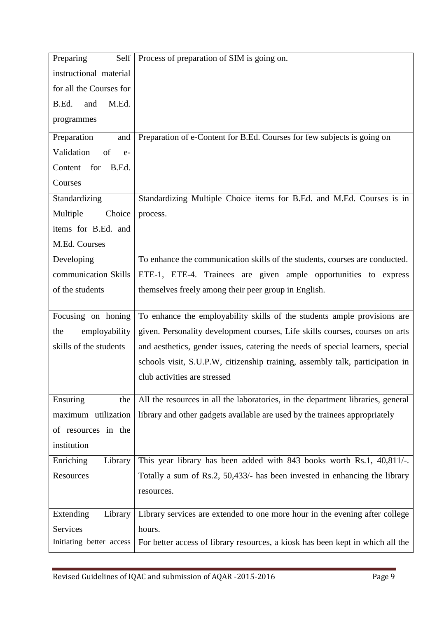| Preparing<br>Self        | Process of preparation of SIM is going on.                                      |
|--------------------------|---------------------------------------------------------------------------------|
| instructional material   |                                                                                 |
| for all the Courses for  |                                                                                 |
| M.Ed.<br>B.Ed.<br>and    |                                                                                 |
| programmes               |                                                                                 |
| Preparation<br>and       | Preparation of e-Content for B.Ed. Courses for few subjects is going on         |
| Validation<br>of<br>$e-$ |                                                                                 |
| for<br>Content<br>B.Ed.  |                                                                                 |
| Courses                  |                                                                                 |
| Standardizing            | Standardizing Multiple Choice items for B.Ed. and M.Ed. Courses is in           |
| Multiple<br>Choice       | process.                                                                        |
| items for B.Ed. and      |                                                                                 |
| M.Ed. Courses            |                                                                                 |
| Developing               | To enhance the communication skills of the students, courses are conducted.     |
| communication Skills     | ETE-1, ETE-4. Trainees are given ample opportunities to express                 |
| of the students          | themselves freely among their peer group in English.                            |
|                          |                                                                                 |
| Focusing on honing       | To enhance the employability skills of the students ample provisions are        |
| employability<br>the     | given. Personality development courses, Life skills courses, courses on arts    |
| skills of the students   | and aesthetics, gender issues, catering the needs of special learners, special  |
|                          | schools visit, S.U.P.W, citizenship training, assembly talk, participation in   |
|                          | club activities are stressed                                                    |
| Ensuring<br>the          | All the resources in all the laboratories, in the department libraries, general |
| maximum utilization      | library and other gadgets available are used by the trainees appropriately      |
| of resources in the      |                                                                                 |
| institution              |                                                                                 |
| Enriching<br>Library     | This year library has been added with 843 books worth Rs.1, 40,811/-.           |
| Resources                | Totally a sum of Rs.2, 50,433/- has been invested in enhancing the library      |
|                          | resources.                                                                      |
| Extending<br>Library     | Library services are extended to one more hour in the evening after college     |
| Services                 | hours.                                                                          |
| Initiating better access | For better access of library resources, a kiosk has been kept in which all the  |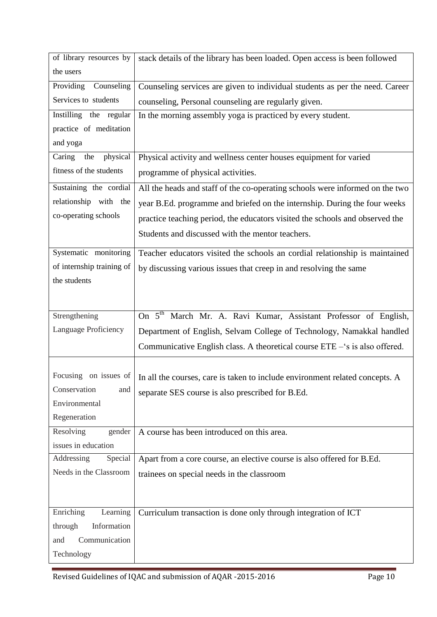| of library resources by            | stack details of the library has been loaded. Open access is been followed         |
|------------------------------------|------------------------------------------------------------------------------------|
| the users                          |                                                                                    |
| Providing Counseling               | Counseling services are given to individual students as per the need. Career       |
| Services to students               | counseling, Personal counseling are regularly given.                               |
| Instilling the regular             | In the morning assembly yoga is practiced by every student.                        |
| practice of meditation             |                                                                                    |
| and yoga                           |                                                                                    |
| physical<br>Caring<br>the          | Physical activity and wellness center houses equipment for varied                  |
| fitness of the students            | programme of physical activities.                                                  |
| Sustaining the cordial             | All the heads and staff of the co-operating schools were informed on the two       |
| relationship with the              | year B.Ed. programme and briefed on the internship. During the four weeks          |
| co-operating schools               | practice teaching period, the educators visited the schools and observed the       |
|                                    | Students and discussed with the mentor teachers.                                   |
|                                    |                                                                                    |
| Systematic monitoring              | Teacher educators visited the schools an cordial relationship is maintained        |
| of internship training of          | by discussing various issues that creep in and resolving the same                  |
| the students                       |                                                                                    |
|                                    |                                                                                    |
|                                    |                                                                                    |
| Strengthening                      | On $5^{\overline{th}}$<br>March Mr. A. Ravi Kumar, Assistant Professor of English, |
| Language Proficiency               | Department of English, Selvam College of Technology, Namakkal handled              |
|                                    | Communicative English class. A theoretical course $ETE - s$ is also offered.       |
|                                    |                                                                                    |
| Focusing on issues of              |                                                                                    |
| Conservation<br>and                | In all the courses, care is taken to include environment related concepts. A       |
| Environmental                      | separate SES course is also prescribed for B.Ed.                                   |
| Regeneration                       |                                                                                    |
| Resolving<br>gender                | A course has been introduced on this area.                                         |
| issues in education                |                                                                                    |
| Addressing<br>Special              | Apart from a core course, an elective course is also offered for B.Ed.             |
| Needs in the Classroom             | trainees on special needs in the classroom                                         |
|                                    |                                                                                    |
|                                    |                                                                                    |
| Enriching<br>Learning              | Curriculum transaction is done only through integration of ICT                     |
| through<br>Information             |                                                                                    |
| Communication<br>and<br>Technology |                                                                                    |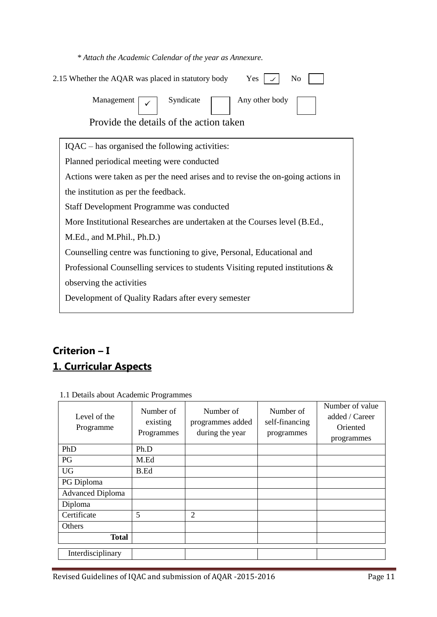| * Attach the Academic Calendar of the year as Annexure. |  |
|---------------------------------------------------------|--|
|---------------------------------------------------------|--|

| 2.15 Whether the AQAR was placed in statutory body<br>Yes<br>No                      |
|--------------------------------------------------------------------------------------|
| Syndicate<br>Any other body<br>Management<br>Provide the details of the action taken |
| IQAC – has organised the following activities:                                       |
| Planned periodical meeting were conducted                                            |
| Actions were taken as per the need arises and to revise the on-going actions in      |
| the institution as per the feedback.                                                 |
| Staff Development Programme was conducted                                            |
| More Institutional Researches are undertaken at the Courses level (B.Ed.,            |
| M.Ed., and M.Phil., Ph.D.)                                                           |
| Counselling centre was functioning to give, Personal, Educational and                |
| Professional Counselling services to students Visiting reputed institutions &        |
| observing the activities                                                             |
| Development of Quality Radars after every semester                                   |
|                                                                                      |

# **Criterion – I 1. Curricular Aspects**

| 1.1 Beams about Headerine Hoghammes |                                     |                                                  |                                           |                                                             |
|-------------------------------------|-------------------------------------|--------------------------------------------------|-------------------------------------------|-------------------------------------------------------------|
| Level of the<br>Programme           | Number of<br>existing<br>Programmes | Number of<br>programmes added<br>during the year | Number of<br>self-financing<br>programmes | Number of value<br>added / Career<br>Oriented<br>programmes |
| PhD                                 | Ph.D                                |                                                  |                                           |                                                             |
| PG                                  | M.Ed                                |                                                  |                                           |                                                             |
| <b>UG</b>                           | B.Ed                                |                                                  |                                           |                                                             |
| PG Diploma                          |                                     |                                                  |                                           |                                                             |
| <b>Advanced Diploma</b>             |                                     |                                                  |                                           |                                                             |
| Diploma                             |                                     |                                                  |                                           |                                                             |
| Certificate                         | 5                                   | $\overline{2}$                                   |                                           |                                                             |
| Others                              |                                     |                                                  |                                           |                                                             |
| <b>Total</b>                        |                                     |                                                  |                                           |                                                             |
| Interdisciplinary                   |                                     |                                                  |                                           |                                                             |

1.1 Details about Academic Programmes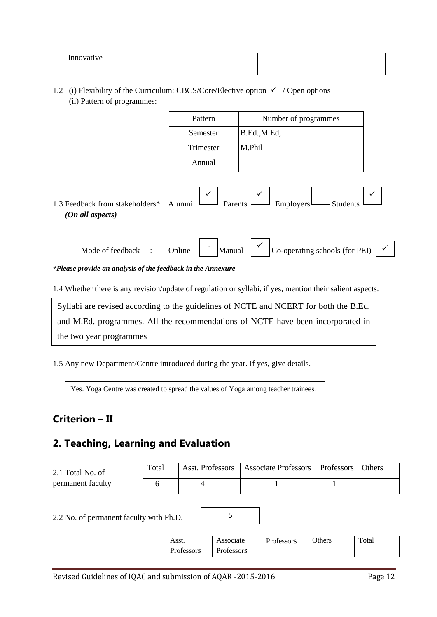| Innovative |  |  |
|------------|--|--|
|            |  |  |

1.2 (i) Flexibility of the Curriculum: CBCS/Core/Elective option  $\checkmark$  / Open options (ii) Pattern of programmes:

| Pattern   | Number of programmes |
|-----------|----------------------|
| Semester  | B.Ed., M.Ed.         |
| Trimester | M.Phil               |
| Annual    |                      |



| Mode of feedback | )nline | $\overline{\phantom{0}}$ |  | $\vert$ Co-operating schools (for PEI) |  |
|------------------|--------|--------------------------|--|----------------------------------------|--|
|                  |        |                          |  |                                        |  |

*\*Please provide an analysis of the feedback in the Annexure*

1.4 Whether there is any revision/update of regulation or syllabi, if yes, mention their salient aspects.

Syllabi are revised according to the guidelines of NCTE and NCERT for both the B.Ed. and M.Ed. programmes. All the recommendations of NCTE have been incorporated in the two year programmes

1.5 Any new Department/Centre introduced during the year. If yes, give details.

Yes. Yoga Centre was created to spread the values of Yoga among teacher trainees.

# **Criterion – II**

# **2. Teaching, Learning and Evaluation**

Blogs for each subject at B.Ed. were created.<br>Blogs for each subject at B.Ed. were created.

| 2.1 Total No. of  | Total | Asst. Professors | Associate Professors   Professors | <b>Others</b> |
|-------------------|-------|------------------|-----------------------------------|---------------|
| permanent faculty |       |                  |                                   |               |

5

2.2 No. of permanent faculty with Ph.D.

| Asst.      | Associate  | Professors | Others | Total |
|------------|------------|------------|--------|-------|
| Professors | Professors |            |        |       |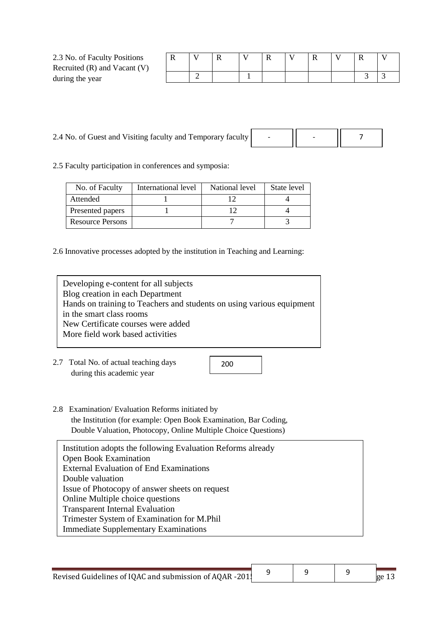| 2.3 No. of Faculty Positions     | v |   | л |  |  |  |  |
|----------------------------------|---|---|---|--|--|--|--|
| Recruited $(R)$ and Vacant $(V)$ |   |   |   |  |  |  |  |
| during the year                  |   | ∸ |   |  |  |  |  |

| 2.4 No. of Guest and Visiting faculty and Temporary faculty |  |  |  |
|-------------------------------------------------------------|--|--|--|
|-------------------------------------------------------------|--|--|--|

2.5 Faculty participation in conferences and symposia:

| No. of Faculty          | International level | National level | State level |
|-------------------------|---------------------|----------------|-------------|
| Attended                |                     |                |             |
| Presented papers        |                     |                |             |
| <b>Resource Persons</b> |                     |                |             |

2.6 Innovative processes adopted by the institution in Teaching and Learning:

| Developing e-content for all subjects                                 |
|-----------------------------------------------------------------------|
| Blog creation in each Department                                      |
| Hands on training to Teachers and students on using various equipment |
| in the smart class rooms                                              |
| New Certificate courses were added                                    |
| More field work based activities                                      |
|                                                                       |

2.7 Total No. of actual teaching days during this academic year

200

9 9

2.8 Examination/ Evaluation Reforms initiated by the Institution (for example: Open Book Examination, Bar Coding, Double Valuation, Photocopy, Online Multiple Choice Questions)

| Institution adopts the following Evaluation Reforms already |
|-------------------------------------------------------------|
| Open Book Examination                                       |
| <b>External Evaluation of End Examinations</b>              |
| Double valuation                                            |
| Issue of Photocopy of answer sheets on request              |
| Online Multiple choice questions                            |
| <b>Transparent Internal Evaluation</b>                      |
| Trimester System of Examination for M.Phil                  |
| <b>Immediate Supplementary Examinations</b>                 |

9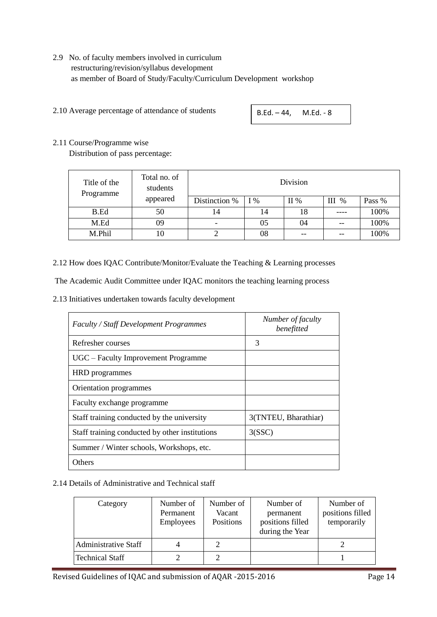## 2.9 No. of faculty members involved in curriculum restructuring/revision/syllabus development as member of Board of Study/Faculty/Curriculum Development workshop

2.10 Average percentage of attendance of students

B.Ed. – 44, M.Ed. - 8

### 2.11 Course/Programme wise

Distribution of pass percentage:

| Title of the<br>Programme | Total no. of<br>students | Division      |       |        |       |        |  |
|---------------------------|--------------------------|---------------|-------|--------|-------|--------|--|
|                           | appeared                 | Distinction % | $I\%$ | $II\%$ | III % | Pass % |  |
| B.Ed                      | 50                       | 14            | 14    | 18     |       | 100%   |  |
| M.Ed                      | 09                       |               | 05    | 04     | --    | 100%   |  |
| M.Phil                    | 10                       |               | 08    |        |       | 100%   |  |

2.12 How does IQAC Contribute/Monitor/Evaluate the Teaching & Learning processes

The Academic Audit Committee under IQAC monitors the teaching learning process

2.13 Initiatives undertaken towards faculty development

| <b>Faculty / Staff Development Programmes</b>  | Number of faculty<br>benefitted |
|------------------------------------------------|---------------------------------|
| Refresher courses                              | 3                               |
| UGC – Faculty Improvement Programme            |                                 |
| HRD programmes                                 |                                 |
| Orientation programmes                         |                                 |
| Faculty exchange programme                     |                                 |
| Staff training conducted by the university     | 3(TNTEU, Bharathiar)            |
| Staff training conducted by other institutions | 3(SSC)                          |
| Summer / Winter schools, Workshops, etc.       |                                 |
| Others                                         |                                 |

2.14 Details of Administrative and Technical staff

| Category                    | Number of<br>Permanent<br><b>Employees</b> | Number of<br>Vacant<br>Positions | Number of<br>permanent<br>positions filled<br>during the Year | Number of<br>positions filled<br>temporarily |
|-----------------------------|--------------------------------------------|----------------------------------|---------------------------------------------------------------|----------------------------------------------|
| <b>Administrative Staff</b> |                                            |                                  |                                                               |                                              |
| <b>Technical Staff</b>      |                                            |                                  |                                                               |                                              |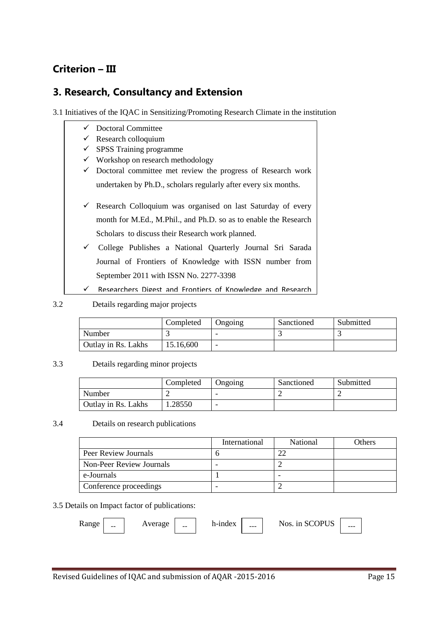# **Criterion – III**

# **3. Research, Consultancy and Extension**

3.1 Initiatives of the IQAC in Sensitizing/Promoting Research Climate in the institution

- Doctoral Committee
- $\checkmark$  Research colloquium
- $\checkmark$  SPSS Training programme
- $\checkmark$  Workshop on research methodology
- $\checkmark$  Doctoral committee met review the progress of Research work undertaken by Ph.D., scholars regularly after every six months.
- $\checkmark$  Research Colloquium was organised on last Saturday of every month for M.Ed., M.Phil., and Ph.D. so as to enable the Research Scholars to discuss their Research work planned.
- College Publishes a National Quarterly Journal Sri Sarada Journal of Frontiers of Knowledge with ISSN number from September 2011 with ISSN No. 2277-3398
- $\checkmark$  Researchers Digest and Frontiers of Knowledge and Research

### 3.2 Details regarding major projects

|                     | Completed | Ongoing                  | Sanctioned | Submitted |
|---------------------|-----------|--------------------------|------------|-----------|
| Number              |           | $\overline{\phantom{0}}$ |            |           |
| Outlay in Rs. Lakhs | 15.16,600 | $\overline{\phantom{0}}$ |            |           |

### 3.3 Details regarding minor projects

|                     | Completed | Ongoing | Sanctioned | Submitted |
|---------------------|-----------|---------|------------|-----------|
| Number              |           | -       |            |           |
| Outlay in Rs. Lakhs | .28550    | -       |            |           |

### 3.4 Details on research publications

|                          | International | National | Others |
|--------------------------|---------------|----------|--------|
| Peer Review Journals     |               |          |        |
| Non-Peer Review Journals |               |          |        |
| e-Journals               |               |          |        |
| Conference proceedings   |               |          |        |

### 3.5 Details on Impact factor of publications:

| L.<br>ang |
|-----------|
|-----------|

 $\text{Range}$  -  $\text{Average}$  -  $\text{h-index}$  --  $\text{Nos. in SCOPUS}$  --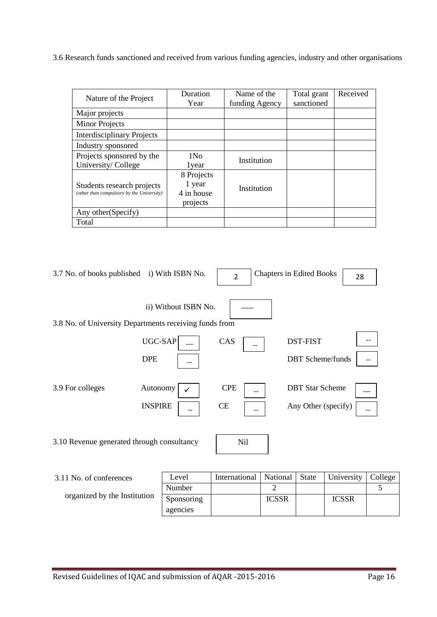3.6 Research funds sanctioned and received from various funding agencies, industry and other organisations

| Nature of the Project                                                   | Duration                                       | Name of the    | Total grant | Received |
|-------------------------------------------------------------------------|------------------------------------------------|----------------|-------------|----------|
|                                                                         | Year                                           | funding Agency | sanctioned  |          |
| Major projects                                                          |                                                |                |             |          |
| <b>Minor Projects</b>                                                   |                                                |                |             |          |
| <b>Interdisciplinary Projects</b>                                       |                                                |                |             |          |
| Industry sponsored                                                      |                                                |                |             |          |
| Projects sponsored by the                                               | 1N <sub>0</sub>                                | Institution    |             |          |
| University/College                                                      | 1 year                                         |                |             |          |
| Students research projects<br>(other than compulsory by the University) | 8 Projects<br>1 year<br>4 in house<br>projects | Institution    |             |          |
| Any other (Specify)                                                     |                                                |                |             |          |
| Total                                                                   |                                                |                |             |          |

| 3.7 No. of books published i) With ISBN No.            |                            |                      | $\overline{2}$   | <b>Chapters in Edited Books</b> |                                               |            | 28 |      |
|--------------------------------------------------------|----------------------------|----------------------|------------------|---------------------------------|-----------------------------------------------|------------|----|------|
| 3.8 No. of University Departments receiving funds from |                            | ii) Without ISBN No. |                  |                                 |                                               |            |    |      |
|                                                        | UGC-SAP                    |                      | CAS              |                                 | <b>DST-FIST</b>                               |            |    |      |
|                                                        | <b>DPE</b>                 |                      |                  |                                 | <b>DBT</b> Scheme/funds                       |            |    |      |
| 3.9 For colleges                                       | Autonomy<br><b>INSPIRE</b> |                      | <b>CPE</b><br>CE |                                 | <b>DBT</b> Star Scheme<br>Any Other (specify) |            |    |      |
|                                                        |                            |                      |                  |                                 |                                               |            |    |      |
| 3.10 Revenue generated through consultancy             |                            |                      | Nil              |                                 |                                               |            |    |      |
| 3.11 No. of conferences                                |                            | Level                | International    | National                        | <b>State</b>                                  | University |    | Coll |

| 3.11 No. of conferences      | Level      | International   National |              | <b>State</b> | University   College |  |
|------------------------------|------------|--------------------------|--------------|--------------|----------------------|--|
|                              | Number     |                          |              |              |                      |  |
| organized by the Institution | Sponsoring |                          | <b>ICSSR</b> |              | <b>ICSSR</b>         |  |
|                              | agencies   |                          |              |              |                      |  |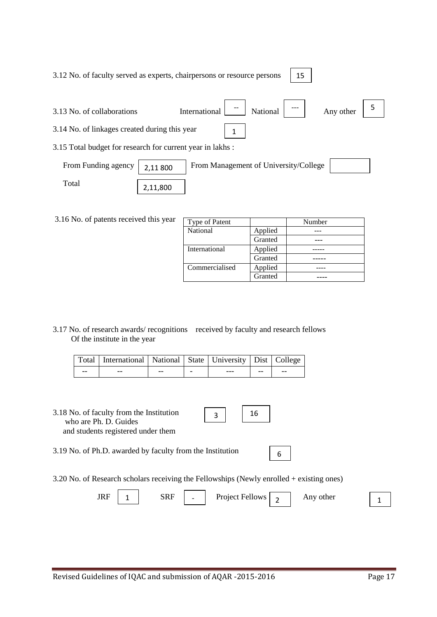| Revised Guidelines of IQAC and submission of AQAR -2015-2016 | Page 17 |
|--------------------------------------------------------------|---------|

3.12 No. of faculty served as experts, chairpersons or resource persons 15

3.13 No. of collaborations International  $\begin{array}{|c|c|c|c|c|c|} \hline \end{array}$  National  $\begin{array}{|c|c|c|c|c|c|} \hline \end{array}$  Any other 3.14 No. of linkages created during this year 3.15 Total budget for research for current year in lakhs : National  $\begin{array}{|c|c|c|c|c|}\n\hline\n\end{array}$  Any other  $\begin{array}{|c|c|c|c|c|}\n\hline\n\end{array}$ 1

| From Funding agency | $\vert$ 2,11 800 | From Management of University/College |  |
|---------------------|------------------|---------------------------------------|--|
| Total               | 2,11,800         |                                       |  |

3.16 No. of patents received this year

| Type of Patent  |         | Number |
|-----------------|---------|--------|
| <b>National</b> | Applied |        |
|                 | Granted |        |
| International   | Applied |        |
|                 | Granted |        |
| Commercialised  | Applied |        |
|                 | Granted |        |

3.17 No. of research awards/ recognitions received by faculty and research fellows Of the institute in the year

|       | Total   International   National   State   University   Dist   College |    |         |       |    |
|-------|------------------------------------------------------------------------|----|---------|-------|----|
| $- -$ | --                                                                     | -- | $- - -$ | $- -$ | -- |

- 3.18 No. of faculty from the Institution who are Ph. D. Guides and students registered under them
- 3.19 No. of Ph.D. awarded by faculty from the Institution

3.20 No. of Research scholars receiving the Fellowships (Newly enrolled + existing ones)

3

| IDE<br>ıκ<br>,,,, |  | SRF | $\overline{\phantom{a}}$ | <b>Project Fellows</b> | other<br>$\mathbf{A}$ nv |  |  |
|-------------------|--|-----|--------------------------|------------------------|--------------------------|--|--|
|-------------------|--|-----|--------------------------|------------------------|--------------------------|--|--|

16

6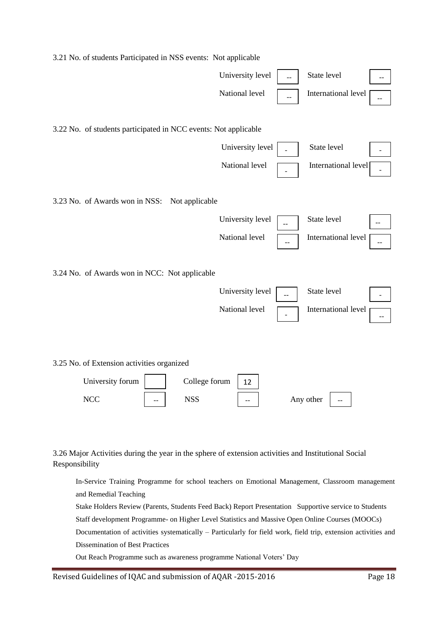| 3.21 No. of students Participated in NSS events: Not applicable |                  |           |                     |  |
|-----------------------------------------------------------------|------------------|-----------|---------------------|--|
|                                                                 | University level |           | State level         |  |
|                                                                 | National level   |           | International level |  |
| 3.22 No. of students participated in NCC events: Not applicable |                  |           |                     |  |
|                                                                 | University level |           | State level         |  |
|                                                                 | National level   |           | International level |  |
| 3.23 No. of Awards won in NSS:<br>Not applicable                |                  |           |                     |  |
|                                                                 | University level |           | State level         |  |
|                                                                 | National level   |           | International level |  |
| 3.24 No. of Awards won in NCC: Not applicable                   |                  |           |                     |  |
|                                                                 | University level |           | State level         |  |
|                                                                 | National level   |           | International level |  |
| 3.25 No. of Extension activities organized                      |                  |           |                     |  |
| University forum<br>College forum                               | 12               |           |                     |  |
| <b>NCC</b><br><b>NSS</b>                                        |                  | Any other |                     |  |
|                                                                 |                  |           |                     |  |

3.26 Major Activities during the year in the sphere of extension activities and Institutional Social Responsibility

In-Service Training Programme for school teachers on Emotional Management, Classroom management and Remedial Teaching

Stake Holders Review (Parents, Students Feed Back) Report Presentation Supportive service to Students Staff development Programme- on Higher Level Statistics and Massive Open Online Courses (MOOCs) Documentation of activities systematically – Particularly for field work, field trip, extension activities and Dissemination of Best Practices

Out Reach Programme such as awareness programme National Voters" Day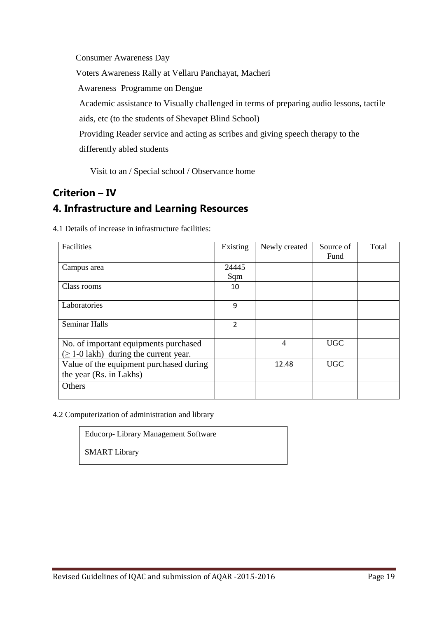Consumer Awareness Day Voters Awareness Rally at Vellaru Panchayat, Macheri Awareness Programme on Dengue Academic assistance to Visually challenged in terms of preparing audio lessons, tactile aids, etc (to the students of Shevapet Blind School) Providing Reader service and acting as scribes and giving speech therapy to the differently abled students

Visit to an / Special school / Observance home

# **Criterion – IV 4. Infrastructure and Learning Resources**

| Facilities                                  | Existing       | Newly created  | Source of  | Total |
|---------------------------------------------|----------------|----------------|------------|-------|
|                                             |                |                | Fund       |       |
| Campus area                                 | 24445          |                |            |       |
|                                             | Sqm            |                |            |       |
| Class rooms                                 | 10             |                |            |       |
|                                             |                |                |            |       |
| Laboratories                                | 9              |                |            |       |
|                                             |                |                |            |       |
| <b>Seminar Halls</b>                        | $\overline{2}$ |                |            |       |
|                                             |                |                |            |       |
| No. of important equipments purchased       |                | $\overline{4}$ | <b>UGC</b> |       |
| $(\geq 1$ -0 lakh) during the current year. |                |                |            |       |
| Value of the equipment purchased during     |                | 12.48          | <b>UGC</b> |       |
| the year (Rs. in Lakhs)                     |                |                |            |       |
| Others                                      |                |                |            |       |
|                                             |                |                |            |       |

4.1 Details of increase in infrastructure facilities:

4.2 Computerization of administration and library

Educorp- Library Management Software

SMART Library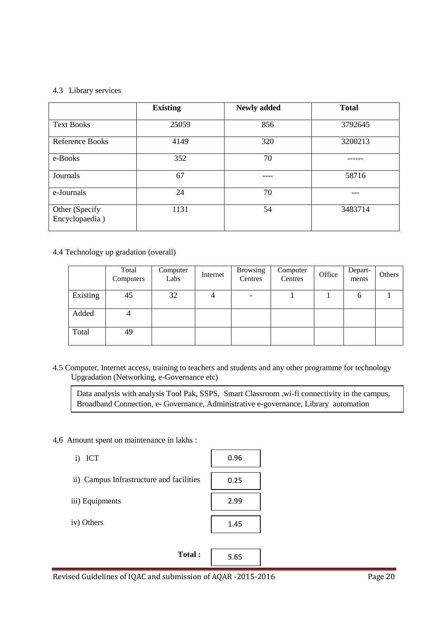### 4.3 Library services

|                                  | <b>Existing</b> | <b>Newly added</b> | <b>Total</b> |
|----------------------------------|-----------------|--------------------|--------------|
| <b>Text Books</b>                | 25059           | 856                | 3792645      |
| Reference Books                  | 4149            | 320                | 3200213      |
| e-Books                          | 352             | 70                 |              |
| Journals                         | 67              |                    | 58716        |
| e-Journals                       | 24              | 70                 |              |
| Other (Specify<br>Encyclopaedia) | 1131            | 54                 | 3483714      |

### 4.4 Technology up gradation (overall)

|          | Total<br>Computers | Computer<br>Labs | Internet | <b>Browsing</b><br>Centres | Computer<br>Centres | Office | Depart-<br>ments | Others |
|----------|--------------------|------------------|----------|----------------------------|---------------------|--------|------------------|--------|
| Existing | 45                 | 32               | 4        | $\overline{\phantom{0}}$   |                     |        | <sub>0</sub>     |        |
| Added    |                    |                  |          |                            |                     |        |                  |        |
| Total    | 49                 |                  |          |                            |                     |        |                  |        |

4.5 Computer, Internet access, training to teachers and students and any other programme for technology Upgradation (Networking, e-Governance etc)

Data analysis with analysis Tool Pak, SSPS, Smart Classroom ,wi-fi connectivity in the campus, Broadband Connection, e- Governance, Administrative e-governance, Library automation

### 4.6 Amount spent on maintenance in lakhs :

| i) ICT                                   | 0.96 |
|------------------------------------------|------|
| ii) Campus Infrastructure and facilities | 0.25 |
| iii) Equipments                          | 2.99 |
| iv) Others                               | 1.45 |
|                                          |      |
| Total:                                   | 5.65 |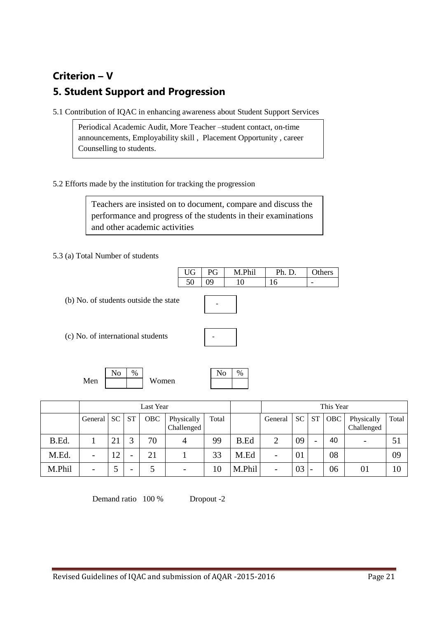# **Criterion – V 5. Student Support and Progression**

5.1 Contribution of IQAC in enhancing awareness about Student Support Services

Periodical Academic Audit, More Teacher –student contact, on-time announcements, Employability skill , Placement Opportunity , career Counselling to students.

5.2 Efforts made by the institution for tracking the progression

Teachers are insisted on to document, compare and discuss the performance and progress of the students in their examinations and other academic activities

5.3 (a) Total Number of students

UG | PG | M.Phil | Ph. D. | Others 50 09 10 16 -

(b) No. of students outside the state

(c) No. of international students

-

Men Women  $\text{No} \mid \%$ 

| $U_{\rm c}$<br>n |  |
|------------------|--|
|                  |  |

|        | Last Year |           |                          |     |                          |       | This Year   |                |           |                          |     |                          |       |
|--------|-----------|-----------|--------------------------|-----|--------------------------|-------|-------------|----------------|-----------|--------------------------|-----|--------------------------|-------|
|        | General   | <b>SC</b> | <b>ST</b>                | OBC | Physically<br>Challenged | Total |             | General        | <b>SC</b> | <b>ST</b>                | OBC | Physically<br>Challenged | Total |
| B.Ed.  |           | 21        | $\mathbf{c}$             | 70  | 4                        | 99    | <b>B.Ed</b> | $\overline{2}$ | 09        | $\overline{\phantom{0}}$ | 40  | -                        | 51    |
| M.Ed.  | -         | 12        | $\overline{\phantom{0}}$ | 21  |                          | 33    | M.Ed        | -              | 01        |                          | 08  |                          | 09    |
| M.Phil | -         |           | $\overline{\phantom{0}}$ |     | $\overline{\phantom{a}}$ | 10    | M.Phil      |                | 03        |                          | 06  | 01                       | 10    |

Demand ratio 100 % Dropout -2

Revised Guidelines of IQAC and submission of AQAR -2015-2016 Page 21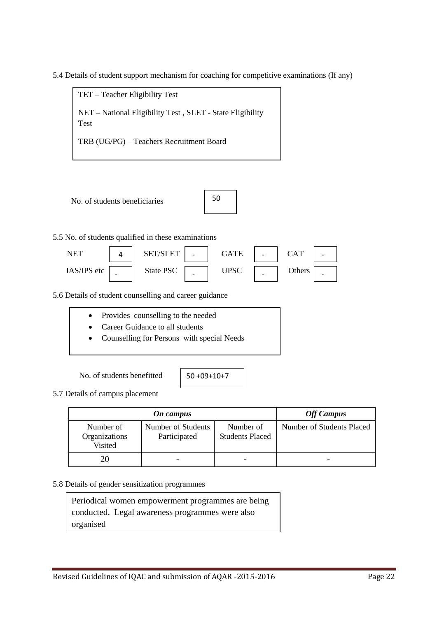5.4 Details of student support mechanism for coaching for competitive examinations (If any)

TET – Teacher Eligibility Test NET – National Eligibility Test , SLET - State Eligibility Test TRB (UG/PG) – Teachers Recruitment Board

No. of students beneficiaries

| 50 |  |
|----|--|
|    |  |

### 5.5 No. of students qualified in these examinations

| NFT         |   | FТ<br>-SET |                          | GATE | - | $\rm CAT$ |   |
|-------------|---|------------|--------------------------|------|---|-----------|---|
| IAS/IPS etc | - | State PSC  | $\overline{\phantom{0}}$ | UPSC | - | Others    | - |

5.6 Details of student counselling and career guidance

- Provides counselling to the needed
- Career Guidance to all students
- Counselling for Persons with special Needs

No. of students benefitted

5.7 Details of campus placement

|                                       | On campus                          |                                     |                           |  |  |
|---------------------------------------|------------------------------------|-------------------------------------|---------------------------|--|--|
| Number of<br>Organizations<br>Visited | Number of Students<br>Participated | Number of<br><b>Students Placed</b> | Number of Students Placed |  |  |
|                                       |                                    |                                     |                           |  |  |

#### 5.8 Details of gender sensitization programmes

Periodical women empowerment programmes are being conducted. Legal awareness programmes were also organised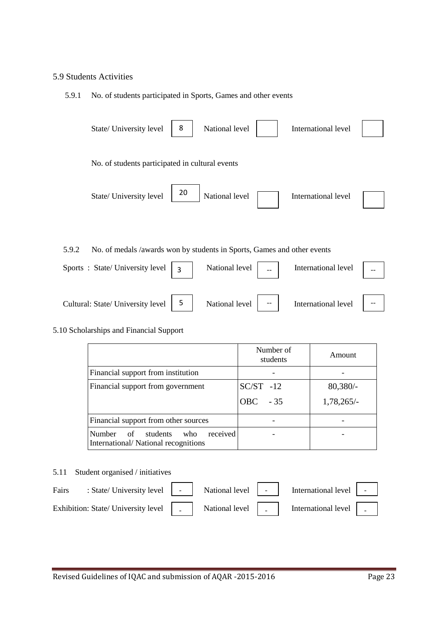### 5.9 Students Activities

### 5.9.1 No. of students participated in Sports, Games and other events



#### 5.10 Scholarships and Financial Support

|                                                                                 | Number of<br>students | Amount       |
|---------------------------------------------------------------------------------|-----------------------|--------------|
| Financial support from institution                                              |                       |              |
| Financial support from government                                               | $SC/ST -12$           | $80,380/-$   |
|                                                                                 | $-35$<br><b>OBC</b>   | $1,78,265/-$ |
| Financial support from other sources                                            |                       |              |
| of students<br>received<br>Number<br>who<br>International/National recognitions |                       |              |

#### 5.11 Student organised / initiatives

| Fairs : State/University level   -   National level   -   International level   -                                                                                                                                              |  |  |  |
|--------------------------------------------------------------------------------------------------------------------------------------------------------------------------------------------------------------------------------|--|--|--|
| Exhibition: State/ University level   National level   National level   National level   National level   National level   National level   National level   National level   National level   National level   National level |  |  |  |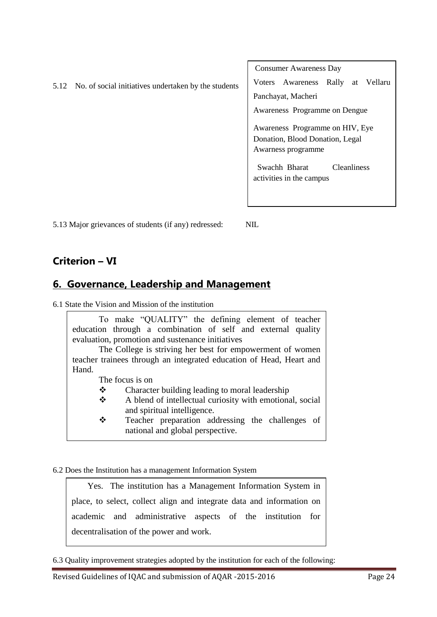|      |                                                      | <b>Consumer Awareness Day</b>                 |
|------|------------------------------------------------------|-----------------------------------------------|
| 5.12 | No. of social initiatives undertaken by the students | Rally<br>Vellaru<br>Awareness<br>Voters<br>at |
|      |                                                      | Panchayat, Macheri                            |
|      |                                                      | Awareness Programme on Dengue                 |
|      |                                                      | Awareness Programme on HIV, Eye               |
|      |                                                      | Donation, Blood Donation, Legal               |
|      |                                                      | Awarness programme                            |
|      |                                                      | Swachh Bharat<br><b>Cleanliness</b>           |
|      |                                                      | activities in the campus                      |
|      |                                                      |                                               |
|      |                                                      |                                               |

5.13 Major grievances of students (if any) redressed: NIL

# **Criterion – VI**

# **6. Governance, Leadership and Management**

6.1 State the Vision and Mission of the institution

To make "QUALITY" the defining element of teacher education through a combination of self and external quality evaluation, promotion and sustenance initiatives

The College is striving her best for empowerment of women teacher trainees through an integrated education of Head, Heart and Hand.

The focus is on

- ❖ Character building leading to moral leadership
- $\triangle$  A blend of intellectual curiosity with emotional, social and spiritual intelligence.
- Teacher preparation addressing the challenges of national and global perspective.

## 6.2 Does the Institution has a management Information System

Yes. The institution has a Management Information System in place, to select, collect align and integrate data and information on academic and administrative aspects of the institution for decentralisation of the power and work.

6.3 Quality improvement strategies adopted by the institution for each of the following: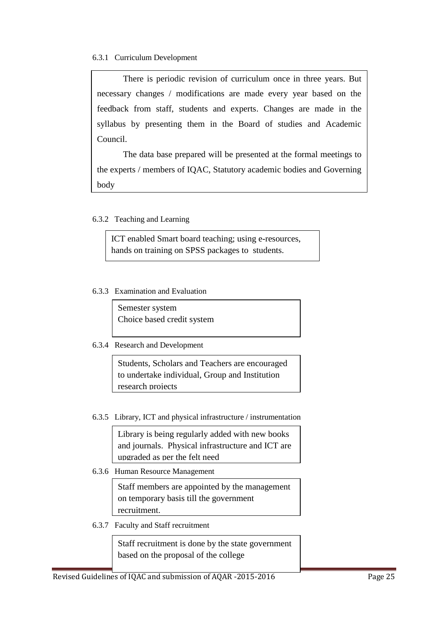### 6.3.1 Curriculum Development

There is periodic revision of curriculum once in three years. But necessary changes / modifications are made every year based on the feedback from staff, students and experts. Changes are made in the syllabus by presenting them in the Board of studies and Academic Council.

The data base prepared will be presented at the formal meetings to the experts / members of IQAC, Statutory academic bodies and Governing body

### 6.3.2 Teaching and Learning

ICT enabled Smart board teaching; using e-resources, hands on training on SPSS packages to students.

Educational Technology laboratory was fully furnished

### 6.3.3 Examination and Evaluation

Semester system Choice based credit system

## 6.3.4 Research and Development

Students, Scholars and Teachers are encouraged to undertake individual, Group and Institution research projects

6.3.5 Library, ICT and physical infrastructure / instrumentation

Library is being regularly added with new books and journals. Physical infrastructure and ICT are upgraded as per the felt need

6.3.6 Human Resource Management

Staff members are appointed by the management on temporary basis till the government recruitment.

6.3.7 Faculty and Staff recruitment

Staff recruitment is done by the state government based on the proposal of the college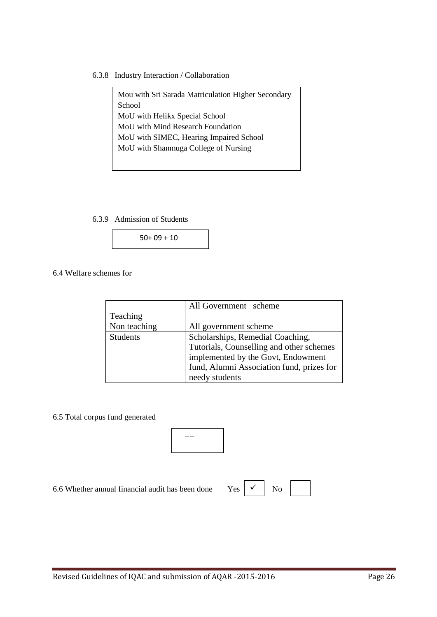6.3.8 Industry Interaction / Collaboration

Mou with Sri Sarada Matriculation Higher Secondary School MoU with Helikx Special School MoU with Mind Research Foundation MoU with SIMEC, Hearing Impaired School MoU with Shanmuga College of Nursing

6.3.9 Admission of Students



6.4 Welfare schemes for

|                 | All Government scheme                     |
|-----------------|-------------------------------------------|
| Teaching        |                                           |
| Non teaching    | All government scheme                     |
| <b>Students</b> | Scholarships, Remedial Coaching,          |
|                 | Tutorials, Counselling and other schemes  |
|                 | implemented by the Govt, Endowment        |
|                 | fund, Alumni Association fund, prizes for |
|                 | needy students                            |

6.5 Total corpus fund generated



6.6 Whether annual financial audit has been done Ye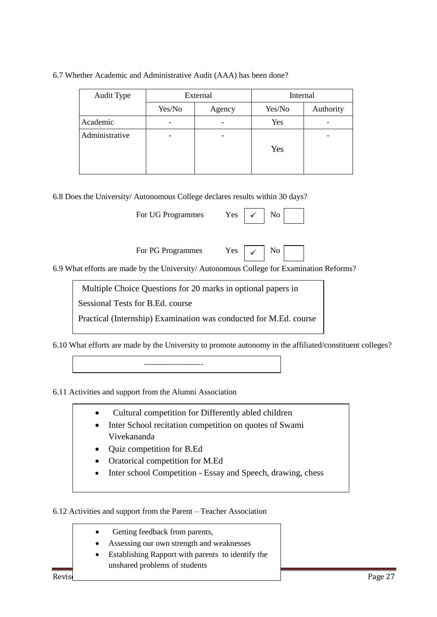| Audit Type     | External                 |        | Internal |           |
|----------------|--------------------------|--------|----------|-----------|
|                | Yes/No                   | Agency | Yes/No   | Authority |
| Academic       | $\overline{\phantom{0}}$ |        | Yes      |           |
| Administrative | -                        |        |          |           |
|                |                          |        | Yes      |           |
|                |                          |        |          |           |

6.7 Whether Academic and Administrative Audit (AAA) has been done?

6.8 Does the University/ Autonomous College declares results within 30 days?

| For UG Programmes | Yes. | $\checkmark$ |  |  |  |
|-------------------|------|--------------|--|--|--|
|-------------------|------|--------------|--|--|--|

For PG Programmes Yes  $\vert \checkmark$  No

6.9 What efforts are made by the University/ Autonomous College for Examination Reforms?

Multiple Choice Questions for 20 marks in optional papers in

Sessional Tests for B.Ed. course

Practical (Internship) Examination was conducted for M.Ed. course

6.10 What efforts are made by the University to promote autonomy in the affiliated/constituent colleges?

------------------------

6.11 Activities and support from the Alumni Association

- Cultural competition for Differently abled children
- Inter School recitation competition on quotes of Swami Vivekananda
- Quiz competition for B.Ed
- Oratorical competition for M.Ed
- Inter school Competition Essay and Speech, drawing, chess

6.12 Activities and support from the Parent – Teacher Association

- Getting feedback from parents, Assessing our own strength and weaknesses
- Establishing Rapport with parents to identify the unshared problems of students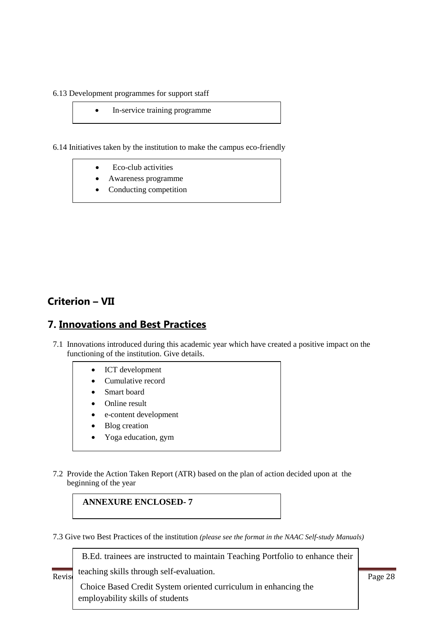6.13 Development programmes for support staff

• In-service training programme

6.14 Initiatives taken by the institution to make the campus eco-friendly

- Eco-club activities
- Awareness programme
- Conducting competition

## **Criterion – VII**

## **7. Innovations and Best Practices**

- 7.1 Innovations introduced during this academic year which have created a positive impact on the functioning of the institution. Give details.
	- ICT development
	- Cumulative record
	- Smart board
	- Online result
	- e-content development
	- Blog creation
	- Yoga education, gym
- 7.2 Provide the Action Taken Report (ATR) based on the plan of action decided upon at the beginning of the year

**ANNEXURE ENCLOSED- 7**

7.3 Give two Best Practices of the institution *(please see the format in the NAAC Self-study Manuals)*

B.Ed. trainees are instructed to maintain Teaching Portfolio to enhance their

**Revis** teaching skills through self-evaluation. The AQAR -28

Choice Based Credit System oriented curriculum in enhancing the employability skills of students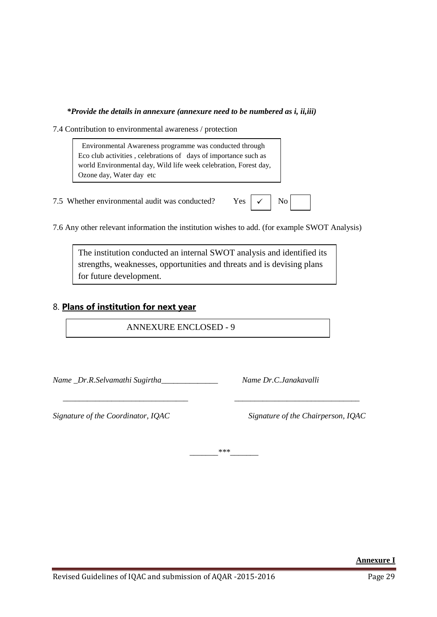### *\*Provide the details in annexure (annexure need to be numbered as i, ii,iii)*

7.4 Contribution to environmental awareness / protection

 Environmental Awareness programme was conducted through Eco club activities , celebrations of days of importance such as world Environmental day, Wild life week celebration, Forest day, Ozone day, Water day etc

7.5 Whether environmental audit was conducted? Yes  $\vert \checkmark \vert$  No

Saplings were planted in the college campus

| c |  |  |  |
|---|--|--|--|
|---|--|--|--|

7.6 Any other relevant information the institution wishes to add. (for example SWOT Analysis)

The institution conducted an internal SWOT analysis and identified its strengths, weaknesses, opportunities and threats and is devising plans for future development.

## 8. **Plans of institution for next year**

ANNEXURE ENCLOSED - 9

*Name \_Dr.R.Selvamathi Sugirtha\_\_\_\_\_\_\_\_\_\_\_\_\_\_ Name Dr.C.Janakavalli* 

*Signature of the Coordinator, IQAC Signature of the Chairperson, IQAC*

*\_\_\_\_\_\_\_\*\*\*\_\_\_\_\_\_\_*

 *\_\_\_\_\_\_\_\_\_\_\_\_\_\_\_\_\_\_\_\_\_\_\_\_\_\_\_\_\_\_\_ \_\_\_\_\_\_\_\_\_\_\_\_\_\_\_\_\_\_\_\_\_\_\_\_\_\_\_\_\_\_\_* 

**Annexure I**